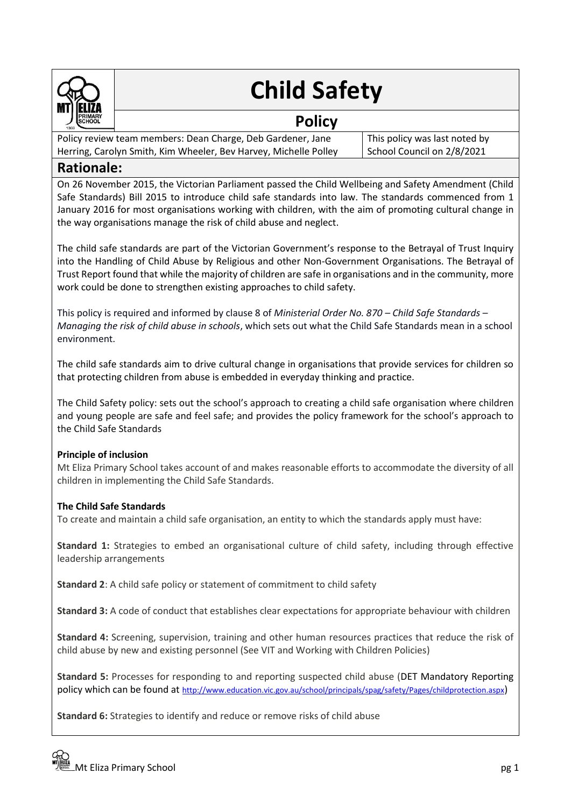

# **Child Safety**

# **Policy**

Policy review team members: Dean Charge, Deb Gardener, Jane Herring, Carolyn Smith, Kim Wheeler, Bev Harvey, Michelle Polley

This policy was last noted by School Council on 2/8/2021

# **Rationale:**

On 26 November 2015, the Victorian Parliament passed the Child Wellbeing and Safety Amendment (Child Safe Standards) Bill 2015 to introduce child safe standards into law. The standards commenced from 1 January 2016 for most organisations working with children, with the aim of promoting cultural change in the way organisations manage the risk of child abuse and neglect.

The child safe standards are part of the Victorian Government's response to the Betrayal of Trust Inquiry into the Handling of Child Abuse by Religious and other Non-Government Organisations. The Betrayal of Trust Report found that while the majority of children are safe in organisations and in the community, more work could be done to strengthen existing approaches to child safety.

This policy is required and informed by clause 8 of *Ministerial Order No. 870 – Child Safe Standards – Managing the risk of child abuse in schools*, which sets out what the Child Safe Standards mean in a school environment.

The child safe standards aim to drive cultural change in organisations that provide services for children so that protecting children from abuse is embedded in everyday thinking and practice.

The Child Safety policy: sets out the school's approach to creating a child safe organisation where children and young people are safe and feel safe; and provides the policy framework for the school's approach to the Child Safe Standards

#### **Principle of inclusion**

Mt Eliza Primary School takes account of and makes reasonable efforts to accommodate the diversity of all children in implementing the Child Safe Standards.

## **The Child Safe Standards**

To create and maintain a child safe organisation, an entity to which the standards apply must have:

**Standard 1:** Strategies to embed an organisational culture of child safety, including through effective leadership arrangements

**Standard 2**: A child safe policy or statement of commitment to child safety

**Standard 3:** A code of conduct that establishes clear expectations for appropriate behaviour with children

**Standard 4:** Screening, supervision, training and other human resources practices that reduce the risk of child abuse by new and existing personnel (See VIT and Working with Children Policies)

**Standard 5:** Processes for responding to and reporting suspected child abuse (DET Mandatory Reporting policy which can be found at <http://www.education.vic.gov.au/school/principals/spag/safety/Pages/childprotection.aspx>)

**Standard 6:** Strategies to identify and reduce or remove risks of child abuse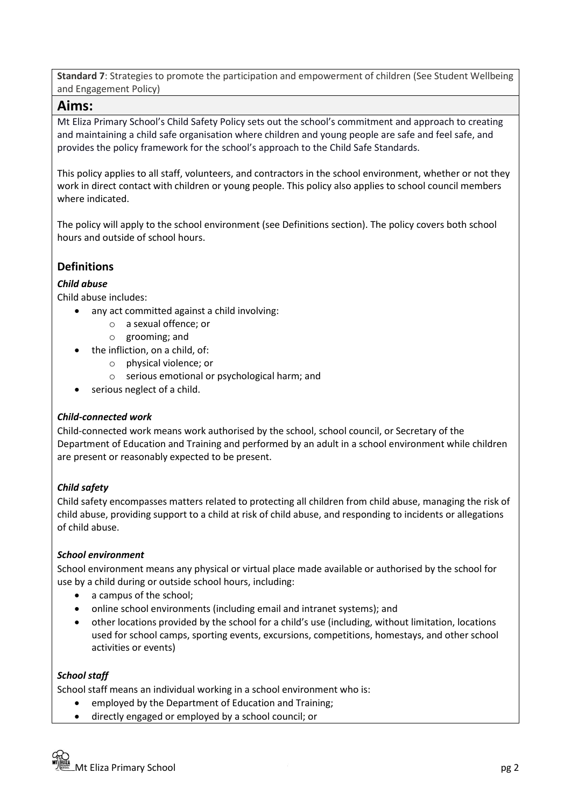**Standard 7**: Strategies to promote the participation and empowerment of children (See Student Wellbeing and Engagement Policy)

## **Aims:**

Mt Eliza Primary School's Child Safety Policy sets out the school's commitment and approach to creating and maintaining a child safe organisation where children and young people are safe and feel safe, and provides the policy framework for the school's approach to the Child Safe Standards.

This policy applies to all staff, volunteers, and contractors in the school environment, whether or not they work in direct contact with children or young people. This policy also applies to school council members where indicated.

The policy will apply to the school environment (see Definitions section). The policy covers both school hours and outside of school hours.

# **Definitions**

## *Child abuse*

Child abuse includes:

- any act committed against a child involving:
	- o a sexual offence; or
	- o grooming; and
	- the infliction, on a child, of:
		- o physical violence; or
		- o serious emotional or psychological harm; and
- serious neglect of a child.

#### *Child-connected work*

Child-connected work means work authorised by the school, school council, or Secretary of the Department of Education and Training and performed by an adult in a school environment while children are present or reasonably expected to be present.

#### *Child safety*

Child safety encompasses matters related to protecting all children from child abuse, managing the risk of child abuse, providing support to a child at risk of child abuse, and responding to incidents or allegations of child abuse.

#### *School environment*

School environment means any physical or virtual place made available or authorised by the school for use by a child during or outside school hours, including:

- a campus of the school;
- online school environments (including email and intranet systems); and
- other locations provided by the school for a child's use (including, without limitation, locations used for school camps, sporting events, excursions, competitions, homestays, and other school activities or events)

#### *School staff*

School staff means an individual working in a school environment who is:

- employed by the Department of Education and Training;
- directly engaged or employed by a school council; or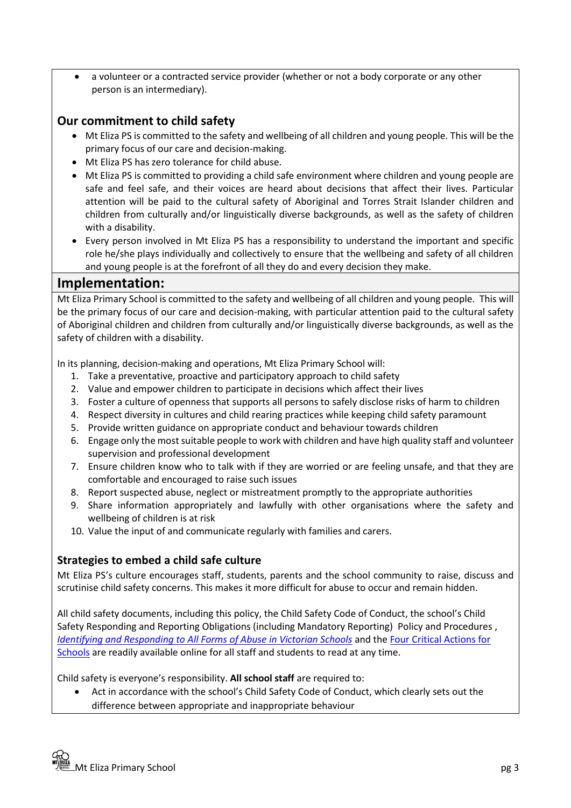• a volunteer or a contracted service provider (whether or not a body corporate or any other person is an intermediary).

# **Our commitment to child safety**

- Mt Eliza PS is committed to the safety and wellbeing of all children and young people. This will be the primary focus of our care and decision-making.
- Mt Eliza PS has zero tolerance for child abuse.
- Mt Eliza PS is committed to providing a child safe environment where children and young people are safe and feel safe, and their voices are heard about decisions that affect their lives. Particular attention will be paid to the cultural safety of Aboriginal and Torres Strait Islander children and children from culturally and/or linguistically diverse backgrounds, as well as the safety of children with a disability.
- Every person involved in Mt Eliza PS has a responsibility to understand the important and specific role he/she plays individually and collectively to ensure that the wellbeing and safety of all children and young people is at the forefront of all they do and every decision they make.

## **Implementation:**

Mt Eliza Primary School is committed to the safety and wellbeing of all children and young people. This will be the primary focus of our care and decision-making, with particular attention paid to the cultural safety of Aboriginal children and children from culturally and/or linguistically diverse backgrounds, as well as the safety of children with a disability.

In its planning, decision-making and operations, Mt Eliza Primary School will:

- 1. Take a preventative, proactive and participatory approach to child safety
- 2. Value and empower children to participate in decisions which affect their lives
- 3. Foster a culture of openness that supports all persons to safely disclose risks of harm to children
- 4. Respect diversity in cultures and child rearing practices while keeping child safety paramount
- 5. Provide written guidance on appropriate conduct and behaviour towards children
- 6. Engage only the most suitable people to work with children and have high quality staff and volunteer supervision and professional development
- 7. Ensure children know who to talk with if they are worried or are feeling unsafe, and that they are comfortable and encouraged to raise such issues
- 8. Report suspected abuse, neglect or mistreatment promptly to the appropriate authorities
- 9. Share information appropriately and lawfully with other organisations where the safety and wellbeing of children is at risk
- 10. Value the input of and communicate regularly with families and carers.

## **Strategies to embed a child safe culture**

Mt Eliza PS's culture encourages staff, students, parents and the school community to raise, discuss and scrutinise child safety concerns. This makes it more difficult for abuse to occur and remain hidden.

All child safety documents, including this policy, the Child Safety Code of Conduct, the school's Child Safety Responding and Reporting Obligations (including Mandatory Reporting) Policy and Procedures , *Identifying and [Responding to All Forms of Abuse in Victorian Schools](https://www.education.vic.gov.au/Documents/about/programs/health/protect/ChildSafeStandard5_SchoolsGuide.pdf)* and th[e Four Critical Actions for](https://www.education.vic.gov.au/Documents/about/programs/health/protect/FourCriticalActions_ChildAbuse.pdf)  [Schools](https://www.education.vic.gov.au/Documents/about/programs/health/protect/FourCriticalActions_ChildAbuse.pdf) are readily available online for all staff and students to read at any time.

Child safety is everyone's responsibility. **All school staff** are required to:

• Act in accordance with the school's Child Safety Code of Conduct, which clearly sets out the difference between appropriate and inappropriate behaviour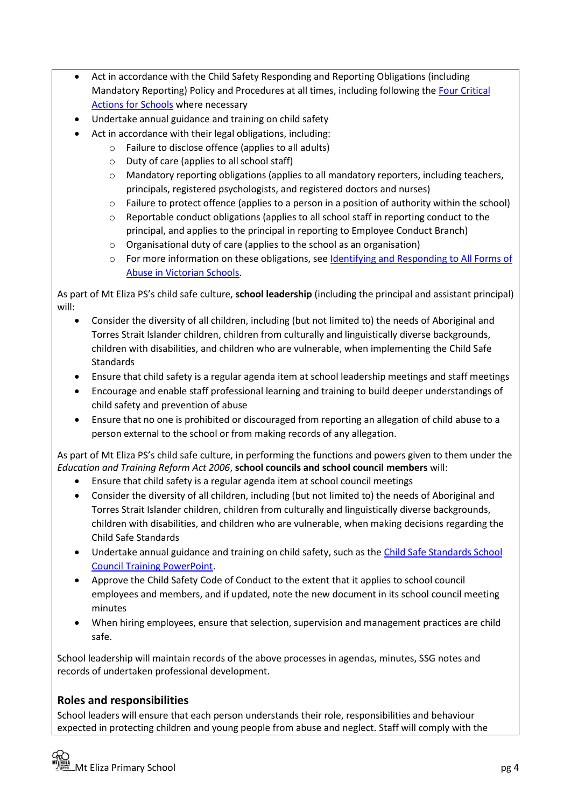- Act in accordance with the Child Safety Responding and Reporting Obligations (including Mandatory Reporting) Policy and Procedures at all times, including following the [Four Critical](https://www.education.vic.gov.au/Documents/about/programs/health/protect/FourCriticalActions_ChildAbuse.pdf)  [Actions for Schools](https://www.education.vic.gov.au/Documents/about/programs/health/protect/FourCriticalActions_ChildAbuse.pdf) where necessary
- Undertake annual guidance and training on child safety
- Act in accordance with their legal obligations, including:
	- o Failure to disclose offence (applies to all adults)
	- o Duty of care (applies to all school staff)
	- $\circ$  Mandatory reporting obligations (applies to all mandatory reporters, including teachers, principals, registered psychologists, and registered doctors and nurses)
	- o Failure to protect offence (applies to a person in a position of authority within the school)
	- o Reportable conduct obligations (applies to all school staff in reporting conduct to the principal, and applies to the principal in reporting to Employee Conduct Branch)
	- o Organisational duty of care (applies to the school as an organisation)
	- $\circ$  For more information on these obligations, see Identifying and Responding to All Forms of [Abuse in Victorian Schools.](https://www.education.vic.gov.au/Documents/about/programs/health/protect/ChildSafeStandard5_SchoolsGuide.pdf)

As part of Mt Eliza PS's child safe culture, **school leadership** (including the principal and assistant principal) will:

- Consider the diversity of all children, including (but not limited to) the needs of Aboriginal and Torres Strait Islander children, children from culturally and linguistically diverse backgrounds, children with disabilities, and children who are vulnerable, when implementing the Child Safe Standards
- Ensure that child safety is a regular agenda item at school leadership meetings and staff meetings
- Encourage and enable staff professional learning and training to build deeper understandings of child safety and prevention of abuse
- Ensure that no one is prohibited or discouraged from reporting an allegation of child abuse to a person external to the school or from making records of any allegation.

As part of Mt Eliza PS's child safe culture, in performing the functions and powers given to them under the *Education and Training Reform Act 2006*, **school councils and school council members** will:

- Ensure that child safety is a regular agenda item at school council meetings
- Consider the diversity of all children, including (but not limited to) the needs of Aboriginal and Torres Strait Islander children, children from culturally and linguistically diverse backgrounds, children with disabilities, and children who are vulnerable, when making decisions regarding the Child Safe Standards
- Undertake annual guidance and training on child safety, such as the [Child Safe Standards School](https://www.education.vic.gov.au/Documents/about/programs/health/protect/school-council-training.pptx)  [Council Training PowerPoint.](https://www.education.vic.gov.au/Documents/about/programs/health/protect/school-council-training.pptx)
- Approve the Child Safety Code of Conduct to the extent that it applies to school council employees and members, and if updated, note the new document in its school council meeting minutes
- When hiring employees, ensure that selection, supervision and management practices are child safe.

School leadership will maintain records of the above processes in agendas, minutes, SSG notes and records of undertaken professional development.

# **Roles and responsibilities**

School leaders will ensure that each person understands their role, responsibilities and behaviour expected in protecting children and young people from abuse and neglect. Staff will comply with the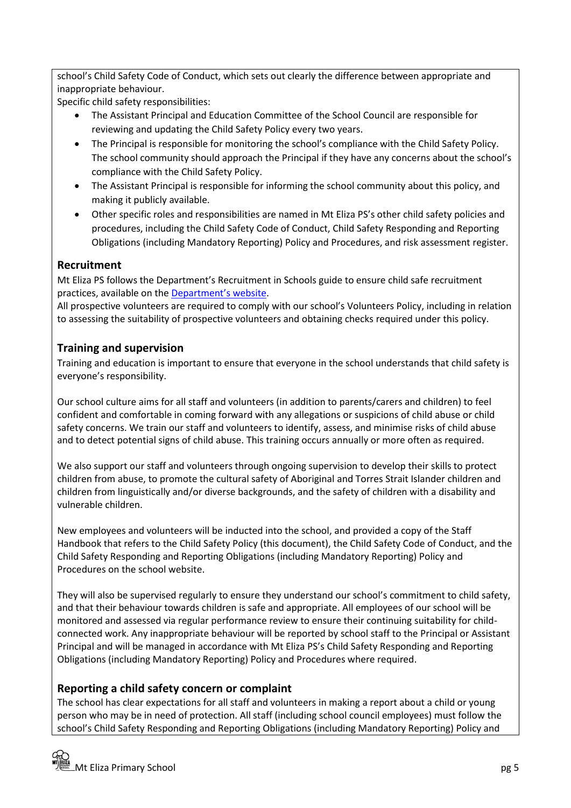school's Child Safety Code of Conduct, which sets out clearly the difference between appropriate and inappropriate behaviour.

Specific child safety responsibilities:

- The Assistant Principal and Education Committee of the School Council are responsible for reviewing and updating the Child Safety Policy every two years.
- The Principal is responsible for monitoring the school's compliance with the Child Safety Policy. The school community should approach the Principal if they have any concerns about the school's compliance with the Child Safety Policy.
- The Assistant Principal is responsible for informing the school community about this policy, and making it publicly available.
- Other specific roles and responsibilities are named in Mt Eliza PS's other child safety policies and procedures, including the Child Safety Code of Conduct, Child Safety Responding and Reporting Obligations (including Mandatory Reporting) Policy and Procedures, and risk assessment register.

# **Recruitment**

Mt Eliza PS follows the Department's Recruitment in Schools guide to ensure child safe recruitment practices, available on the [Department's website](https://www.education.vic.gov.au/hrweb/careers/Pages/recruitinsch.aspx).

All prospective volunteers are required to comply with our school's Volunteers Policy, including in relation to assessing the suitability of prospective volunteers and obtaining checks required under this policy.

# **Training and supervision**

Training and education is important to ensure that everyone in the school understands that child safety is everyone's responsibility.

Our school culture aims for all staff and volunteers (in addition to parents/carers and children) to feel confident and comfortable in coming forward with any allegations or suspicions of child abuse or child safety concerns. We train our staff and volunteers to identify, assess, and minimise risks of child abuse and to detect potential signs of child abuse. This training occurs annually or more often as required.

We also support our staff and volunteers through ongoing supervision to develop their skills to protect children from abuse, to promote the cultural safety of Aboriginal and Torres Strait Islander children and children from linguistically and/or diverse backgrounds, and the safety of children with a disability and vulnerable children.

New employees and volunteers will be inducted into the school, and provided a copy of the Staff Handbook that refers to the Child Safety Policy (this document), the Child Safety Code of Conduct, and the Child Safety Responding and Reporting Obligations (including Mandatory Reporting) Policy and Procedures on the school website.

They will also be supervised regularly to ensure they understand our school's commitment to child safety, and that their behaviour towards children is safe and appropriate. All employees of our school will be monitored and assessed via regular performance review to ensure their continuing suitability for childconnected work. Any inappropriate behaviour will be reported by school staff to the Principal or Assistant Principal and will be managed in accordance with Mt Eliza PS's Child Safety Responding and Reporting Obligations (including Mandatory Reporting) Policy and Procedures where required.

# **Reporting a child safety concern or complaint**

The school has clear expectations for all staff and volunteers in making a report about a child or young person who may be in need of protection. All staff (including school council employees) must follow the school's Child Safety Responding and Reporting Obligations (including Mandatory Reporting) Policy and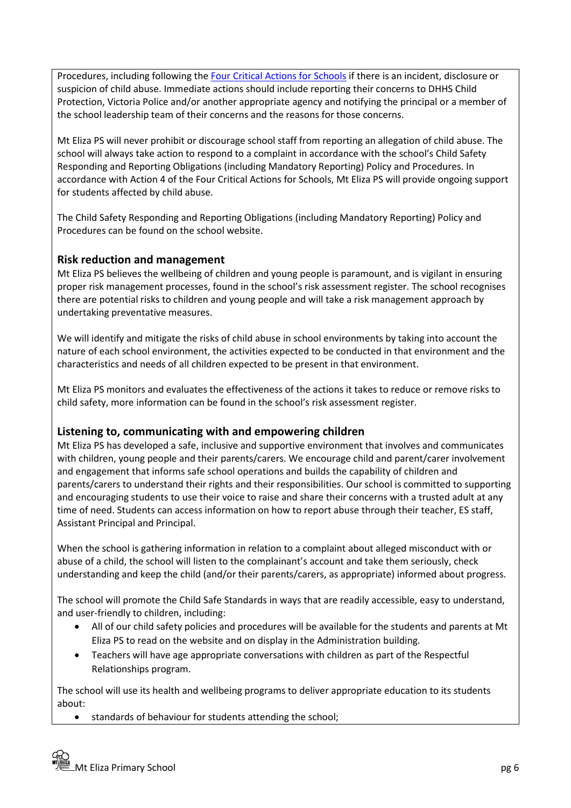Procedures, including following the [Four Critical Actions for Schools](https://www.education.vic.gov.au/Documents/about/programs/health/protect/FourCriticalActions_ChildAbuse.pdf) if there is an incident, disclosure or suspicion of child abuse. Immediate actions should include reporting their concerns to DHHS Child Protection, Victoria Police and/or another appropriate agency and notifying the principal or a member of the school leadership team of their concerns and the reasons for those concerns.

Mt Eliza PS will never prohibit or discourage school staff from reporting an allegation of child abuse. The school will always take action to respond to a complaint in accordance with the school's Child Safety Responding and Reporting Obligations (including Mandatory Reporting) Policy and Procedures. In accordance with Action 4 of the Four Critical Actions for Schools, Mt Eliza PS will provide ongoing support for students affected by child abuse.

The Child Safety Responding and Reporting Obligations (including Mandatory Reporting) Policy and Procedures can be found on the school website.

## **Risk reduction and management**

Mt Eliza PS believes the wellbeing of children and young people is paramount, and is vigilant in ensuring proper risk management processes, found in the school's risk assessment register. The school recognises there are potential risks to children and young people and will take a risk management approach by undertaking preventative measures.

We will identify and mitigate the risks of child abuse in school environments by taking into account the nature of each school environment, the activities expected to be conducted in that environment and the characteristics and needs of all children expected to be present in that environment.

Mt Eliza PS monitors and evaluates the effectiveness of the actions it takes to reduce or remove risks to child safety, more information can be found in the school's risk assessment register.

#### **Listening to, communicating with and empowering children**

Mt Eliza PS has developed a safe, inclusive and supportive environment that involves and communicates with children, young people and their parents/carers. We encourage child and parent/carer involvement and engagement that informs safe school operations and builds the capability of children and parents/carers to understand their rights and their responsibilities. Our school is committed to supporting and encouraging students to use their voice to raise and share their concerns with a trusted adult at any time of need. Students can access information on how to report abuse through their teacher, ES staff, Assistant Principal and Principal.

When the school is gathering information in relation to a complaint about alleged misconduct with or abuse of a child, the school will listen to the complainant's account and take them seriously, check understanding and keep the child (and/or their parents/carers, as appropriate) informed about progress.

The school will promote the Child Safe Standards in ways that are readily accessible, easy to understand, and user-friendly to children, including:

- All of our child safety policies and procedures will be available for the students and parents at Mt Eliza PS to read on the website and on display in the Administration building.
- Teachers will have age appropriate conversations with children as part of the Respectful Relationships program.

The school will use its health and wellbeing programs to deliver appropriate education to its students about:

• standards of behaviour for students attending the school;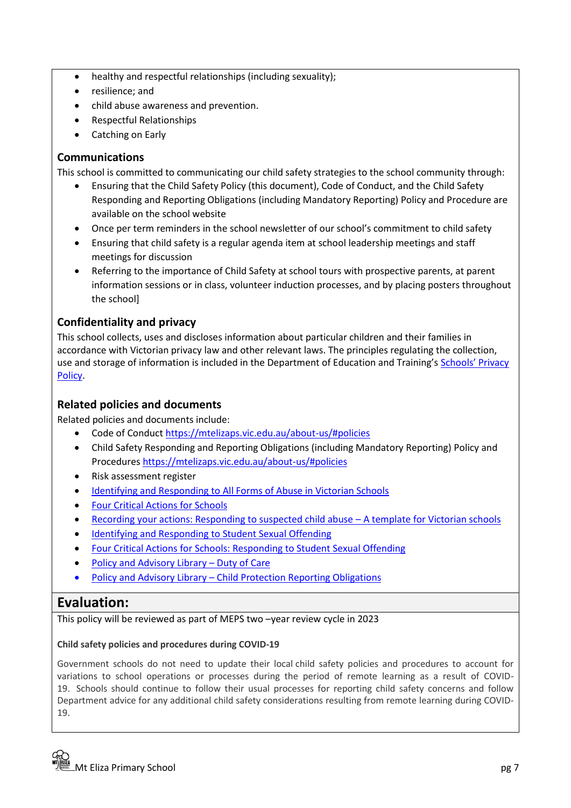- healthy and respectful relationships (including sexuality);
- resilience; and
- child abuse awareness and prevention.
- Respectful Relationships
- Catching on Early

#### **Communications**

This school is committed to communicating our child safety strategies to the school community through:

- Ensuring that the Child Safety Policy (this document), Code of Conduct, and the Child Safety Responding and Reporting Obligations (including Mandatory Reporting) Policy and Procedure are available on the school website
- Once per term reminders in the school newsletter of our school's commitment to child safety
- Ensuring that child safety is a regular agenda item at school leadership meetings and staff meetings for discussion
- Referring to the importance of Child Safety at school tours with prospective parents, at parent information sessions or in class, volunteer induction processes, and by placing posters throughout the school]

## **Confidentiality and privacy**

This school collects, uses and discloses information about particular children and their families in accordance with Victorian privacy law and other relevant laws. The principles regulating the collection, use and storage of information is included in the Department of Education and Training's [Schools' Privacy](https://www.education.vic.gov.au/Pages/schoolsprivacypolicy.aspx)  [Policy.](https://www.education.vic.gov.au/Pages/schoolsprivacypolicy.aspx)

#### **Related policies and documents**

Related policies and documents include:

- Code of Conduc[t https://mtelizaps.vic.edu.au/about-us/#policies](https://mtelizaps.vic.edu.au/about-us/#policies)
- Child Safety Responding and Reporting Obligations (including Mandatory Reporting) Policy and Procedure[s https://mtelizaps.vic.edu.au/about-us/#policies](https://mtelizaps.vic.edu.au/about-us/#policies)
- Risk assessment register
- [Identifying and Responding to All Forms of Abuse in Victorian Schools](https://www.education.vic.gov.au/Documents/about/programs/health/protect/ChildSafeStandard5_SchoolsGuide.pdf)
- [Four Critical Actions for Schools](https://www.education.vic.gov.au/Documents/about/programs/health/protect/FourCriticalActions_ChildAbuse.pdf)
- [Recording your actions: Responding to suspected child abuse](https://www.education.vic.gov.au/Documents/about/programs/health/protect/PROTECT_Schoolstemplate.pdf)  A template for Victorian schools
- [Identifying and Responding to Student Sexual Offending](https://www.education.vic.gov.au/Documents/about/programs/health/protect/SSO_Policy.pdf)
- [Four Critical Actions for Schools: Responding to Student Sexual Offending](https://www.education.vic.gov.au/Documents/about/programs/health/protect/FourCriticalActions_SSO.pdf)
- [Policy and Advisory Library](https://www.education.vic.gov.au/school/principals/spag/safety/Pages/dutyofcare.aspx) Duty of Care
- Policy and Advisory Library [Child Protection Reporting Obligations](https://www.education.vic.gov.au/school/principals/spag/safety/Pages/childprotectobligation.aspx)

## **Evaluation:**

This policy will be reviewed as part of MEPS two –year review cycle in 2023

#### **Child safety policies and procedures during COVID-19**

Government schools do not need to update their local child safety policies and procedures to account for variations to school operations or processes during the period of remote learning as a result of COVID-19. Schools should continue to follow their usual processes for reporting child safety concerns and follow Department advice for any additional child safety considerations resulting from remote learning during COVID-19.